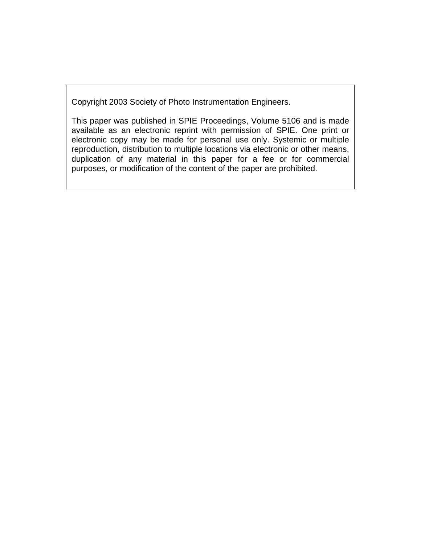Copyright 2003 Society of Photo Instrumentation Engineers.

This paper was published in SPIE Proceedings, Volume 5106 and is made available as an electronic reprint with permission of SPIE. One print or electronic copy may be made for personal use only. Systemic or multiple reproduction, distribution to multiple locations via electronic or other means, duplication of any material in this paper for a fee or for commercial purposes, or modification of the content of the paper are prohibited.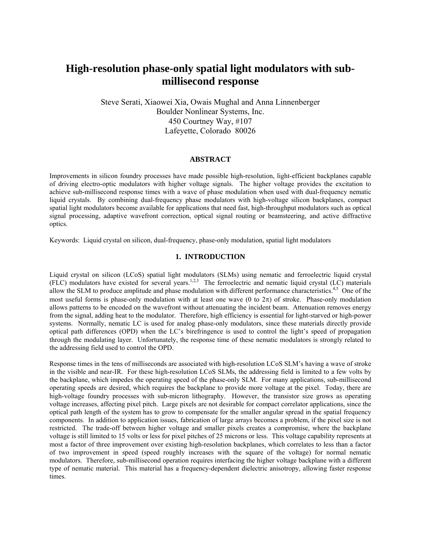# **High-resolution phase-only spatial light modulators with submillisecond response**

Steve Serati, Xiaowei Xia, Owais Mughal and Anna Linnenberger Boulder Nonlinear Systems, Inc. 450 Courtney Way, #107 Lafeyette, Colorado 80026

#### **ABSTRACT**

Improvements in silicon foundry processes have made possible high-resolution, light-efficient backplanes capable of driving electro-optic modulators with higher voltage signals. The higher voltage provides the excitation to achieve sub-millisecond response times with a wave of phase modulation when used with dual-frequency nematic liquid crystals. By combining dual-frequency phase modulators with high-voltage silicon backplanes, compact spatial light modulators become available for applications that need fast, high-throughput modulators such as optical signal processing, adaptive wavefront correction, optical signal routing or beamsteering, and active diffractive optics.

Keywords: Liquid crystal on silicon, dual-frequency, phase-only modulation, spatial light modulators

### **1. INTRODUCTION**

Liquid crystal on silicon (LCoS) spatial light modulators (SLMs) using nematic and ferroelectric liquid crystal  $(FLC)$  modulators have existed for several years.<sup>[1,](#page-8-0)[2,](#page-8-1)3</sup> The ferroelectric and nematic liquid crystal (LC) materials allow the SLM to produce amplitude and phase modulation with different performance characteristics.<sup>4,5</sup> One of the most useful forms is phase-only modulation with at least one wave (0 to  $2\pi$ ) of stroke. Phase-only modulation allows patterns to be encoded on the wavefront without attenuating the incident beam. Attenuation removes energy from the signal, adding heat to the modulator. Therefore, high efficiency is essential for light-starved or high-power systems. Normally, nematic LC is used for analog phase-only modulators, since these materials directly provide optical path differences (OPD) when the LC's birefringence is used to control the light's speed of propagation through the modulating layer. Unfortunately, the response time of these nematic modulators is strongly related to the addressing field used to control the OPD.

Response times in the tens of milliseconds are associated with high-resolution LCoS SLM's having a wave of stroke in the visible and near-IR. For these high-resolution LCoS SLMs, the addressing field is limited to a few volts by the backplane, which impedes the operating speed of the phase-only SLM. For many applications, sub-millisecond operating speeds are desired, which requires the backplane to provide more voltage at the pixel. Today, there are high-voltage foundry processes with sub-micron lithography. However, the transistor size grows as operating voltage increases, affecting pixel pitch. Large pixels are not desirable for compact correlator applications, since the optical path length of the system has to grow to compensate for the smaller angular spread in the spatial frequency components. In addition to application issues, fabrication of large arrays becomes a problem, if the pixel size is not restricted. The trade-off between higher voltage and smaller pixels creates a compromise, where the backplane voltage is still limited to 15 volts or less for pixel pitches of 25 microns or less. This voltage capability represents at most a factor of three improvement over existing high-resolution backplanes, which correlates to less than a factor of two improvement in speed (speed roughly increases with the square of the voltage) for normal nematic modulators. Therefore, sub-millisecond operation requires interfacing the higher voltage backplane with a different type of nematic material. This material has a frequency-dependent dielectric anisotropy, allowing faster response times.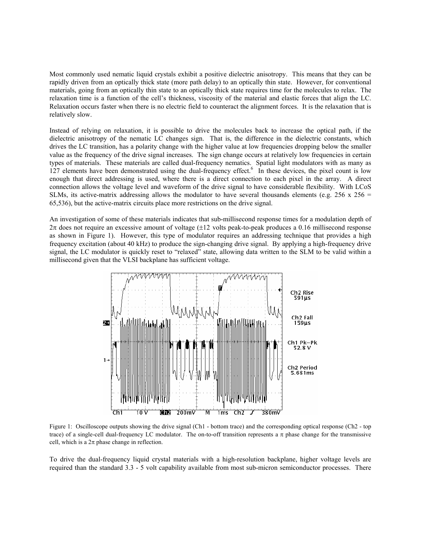Most commonly used nematic liquid crystals exhibit a positive dielectric anisotropy. This means that they can be rapidly driven from an optically thick state (more path delay) to an optically thin state. However, for conventional materials, going from an optically thin state to an optically thick state requires time for the molecules to relax. The relaxation time is a function of the cell's thickness, viscosity of the material and elastic forces that align the LC. Relaxation occurs faster when there is no electric field to counteract the alignment forces. It is the relaxation that is relatively slow.

Instead of relying on relaxation, it is possible to drive the molecules back to increase the optical path, if the dielectric anisotropy of the nematic LC changes sign. That is, the difference in the dielectric constants, which drives the LC transition, has a polarity change with the higher value at low frequencies dropping below the smaller value as the frequency of the drive signal increases. The sign change occurs at relatively low frequencies in certain types of materials. These materials are called dual-frequency nematics. Spatial light modulators with as many as 127 elements have been demonstrated using the dual-frequency effect.<sup>[6](#page-8-5)</sup> In these devices, the pixel count is low enough that direct addressing is used, where there is a direct connection to each pixel in the array. A direct connection allows the voltage level and waveform of the drive signal to have considerable flexibility. With LCoS SLMs, its active-matrix addressing allows the modulator to have several thousands elements (e.g. 256 x 256 = 65,536), but the active-matrix circuits place more restrictions on the drive signal.

An investigation of some of these materials indicates that sub-millisecond response times for a modulation depth of 2π does not require an excessive amount of voltage (±12 volts peak-to-peak produces a 0.16 millisecond response as shown in Figure 1). However, this type of modulator requires an addressing technique that provides a high frequency excitation (about 40 kHz) to produce the sign-changing drive signal. By applying a high-frequency drive signal, the LC modulator is quickly reset to "relaxed" state, allowing data written to the SLM to be valid within a millisecond given that the VLSI backplane has sufficient voltage.



Figure 1: Oscilloscope outputs showing the drive signal (Ch1 - bottom trace) and the corresponding optical response (Ch2 - top trace) of a single-cell dual-frequency LC modulator. The on-to-off transition represents a π phase change for the transmissive cell, which is a  $2\pi$  phase change in reflection.

To drive the dual-frequency liquid crystal materials with a high-resolution backplane, higher voltage levels are required than the standard 3.3 - 5 volt capability available from most sub-micron semiconductor processes. There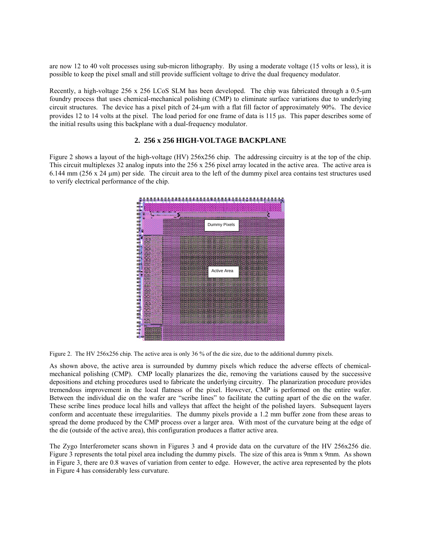are now 12 to 40 volt processes using sub-micron lithography. By using a moderate voltage (15 volts or less), it is possible to keep the pixel small and still provide sufficient voltage to drive the dual frequency modulator.

Recently, a high-voltage 256 x 256 LCoS SLM has been developed. The chip was fabricated through a 0.5-µm foundry process that uses chemical-mechanical polishing (CMP) to eliminate surface variations due to underlying circuit structures. The device has a pixel pitch of 24-µm with a flat fill factor of approximately 90%. The device provides 12 to 14 volts at the pixel. The load period for one frame of data is 115 µs. This paper describes some of the initial results using this backplane with a dual-frequency modulator.

## **2. 256 x 256 HIGH-VOLTAGE BACKPLANE**

Figure 2 shows a layout of the high-voltage (HV) 256x256 chip. The addressing circuitry is at the top of the chip. This circuit multiplexes 32 analog inputs into the 256 x 256 pixel array located in the active area. The active area is 6.144 mm (256 x 24 µm) per side. The circuit area to the left of the dummy pixel area contains test structures used to verify electrical performance of the chip.



Figure 2. The HV 256x256 chip. The active area is only 36 % of the die size, due to the additional dummy pixels.

As shown above, the active area is surrounded by dummy pixels which reduce the adverse effects of chemicalmechanical polishing (CMP). CMP locally planarizes the die, removing the variations caused by the successive depositions and etching procedures used to fabricate the underlying circuitry. The planarization procedure provides tremendous improvement in the local flatness of the pixel. However, CMP is performed on the entire wafer. Between the individual die on the wafer are "scribe lines" to facilitate the cutting apart of the die on the wafer. These scribe lines produce local hills and valleys that affect the height of the polished layers. Subsequent layers conform and accentuate these irregularities. The dummy pixels provide a 1.2 mm buffer zone from these areas to spread the dome produced by the CMP process over a larger area. With most of the curvature being at the edge of the die (outside of the active area), this configuration produces a flatter active area.

The Zygo Interferometer scans shown in Figures 3 and 4 provide data on the curvature of the HV 256x256 die. Figure 3 represents the total pixel area including the dummy pixels. The size of this area is 9mm x 9mm. As shown in Figure 3, there are 0.8 waves of variation from center to edge. However, the active area represented by the plots in Figure 4 has considerably less curvature.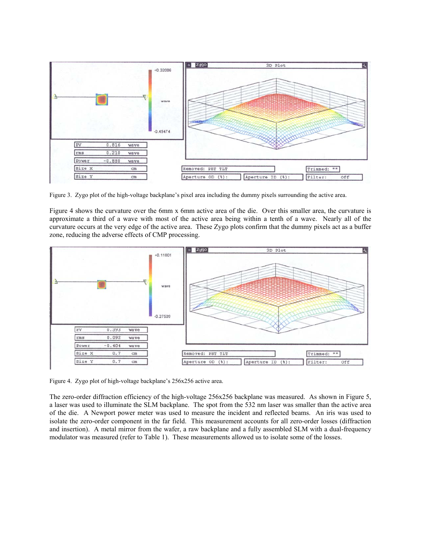

Figure 3. Zygo plot of the high-voltage backplane's pixel area including the dummy pixels surrounding the active area.

Figure 4 shows the curvature over the 6mm x 6mm active area of the die. Over this smaller area, the curvature is approximate a third of a wave with most of the active area being within a tenth of a wave. Nearly all of the curvature occurs at the very edge of the active area. These Zygo plots confirm that the dummy pixels act as a buffer zone, reducing the adverse effects of CMP processing.



Figure 4. Zygo plot of high-voltage backplane's 256x256 active area.

The zero-order diffraction efficiency of the high-voltage 256x256 backplane was measured. As shown in Figure 5, a laser was used to illuminate the SLM backplane. The spot from the 532 nm laser was smaller than the active area of the die. A Newport power meter was used to measure the incident and reflected beams. An iris was used to isolate the zero-order component in the far field. This measurement accounts for all zero-order losses (diffraction and insertion). A metal mirror from the wafer, a raw backplane and a fully assembled SLM with a dual-frequency modulator was measured (refer to Table 1). These measurements allowed us to isolate some of the losses.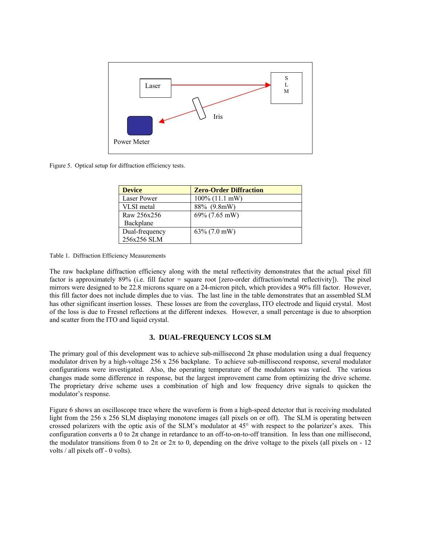

Figure 5. Optical setup for diffraction efficiency tests.

| <b>Device</b>  | <b>Zero-Order Diffraction</b> |
|----------------|-------------------------------|
| Laser Power    | $100\%$ (11.1 mW)             |
| VLSI metal     | 88% (9.8mW)                   |
| Raw 256x256    | 69% (7.65 mW)                 |
| Backplane      |                               |
| Dual-frequency | $63\%$ (7.0 mW)               |
| 256x256 SLM    |                               |

Table 1. Diffraction Efficiency Measurements

The raw backplane diffraction efficiency along with the metal reflectivity demonstrates that the actual pixel fill factor is approximately 89% (i.e. fill factor = square root [zero-order diffraction/metal reflectivity]). The pixel mirrors were designed to be 22.8 microns square on a 24-micron pitch, which provides a 90% fill factor. However, this fill factor does not include dimples due to vias. The last line in the table demonstrates that an assembled SLM has other significant insertion losses. These losses are from the coverglass, ITO electrode and liquid crystal. Most of the loss is due to Fresnel reflections at the different indexes. However, a small percentage is due to absorption and scatter from the ITO and liquid crystal.

## **3. DUAL-FREQUENCY LCOS SLM**

The primary goal of this development was to achieve sub-millisecond  $2\pi$  phase modulation using a dual frequency modulator driven by a high-voltage 256 x 256 backplane. To achieve sub-millisecond response, several modulator configurations were investigated. Also, the operating temperature of the modulators was varied. The various changes made some difference in response, but the largest improvement came from optimizing the drive scheme. The proprietary drive scheme uses a combination of high and low frequency drive signals to quicken the modulator's response.

Figure 6 shows an oscilloscope trace where the waveform is from a high-speed detector that is receiving modulated light from the 256 x 256 SLM displaying monotone images (all pixels on or off). The SLM is operating between crossed polarizers with the optic axis of the SLM's modulator at 45° with respect to the polarizer's axes. This configuration converts a 0 to  $2\pi$  change in retardance to an off-to-on-to-off transition. In less than one millisecond, the modulator transitions from 0 to  $2\pi$  or  $2\pi$  to 0, depending on the drive voltage to the pixels (all pixels on - 12 volts / all pixels off - 0 volts).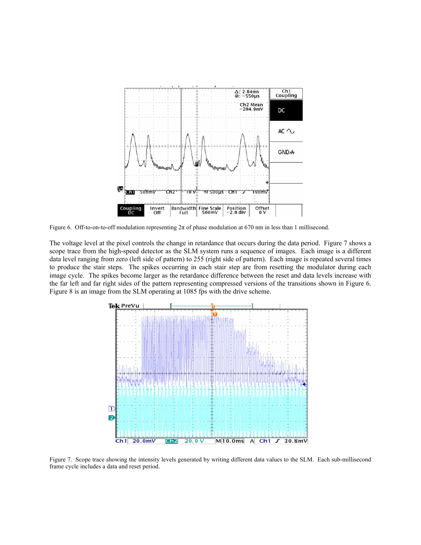

Figure 6. Off-to-on-to-off modulation representing  $2π$  of phase modulation at 670 nm in less than 1 millisecond.

The voltage level at the pixel controls the change in retardance that occurs during the data period. Figure 7 shows a scope trace from the high-speed detector as the SLM system runs a sequence of images. Each image is a different data level ranging from zero (left side of pattern) to 255 (right side of pattern). Each image is repeated several times to produce the stair steps. The spikes occurring in each stair step are from resetting the modulator during each image cycle. The spikes become larger as the retardance difference between the reset and data levels increase with the far left and far right sides of the pattern representing compressed versions of the transitions shown in Figure 6. Figure 8 is an image from the SLM operating at 1085 fps with the drive scheme.



Figure 7. Scope trace showing the intensity levels generated by writing different data values to the SLM. Each sub-millisecond frame cycle includes a data and reset period.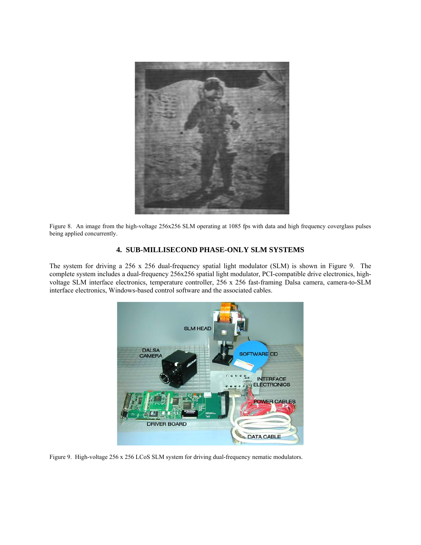

Figure 8. An image from the high-voltage 256x256 SLM operating at 1085 fps with data and high frequency coverglass pulses being applied concurrently.

## **4. SUB-MILLISECOND PHASE-ONLY SLM SYSTEMS**

The system for driving a 256 x 256 dual-frequency spatial light modulator (SLM) is shown in Figure 9. The complete system includes a dual-frequency 256x256 spatial light modulator, PCI-compatible drive electronics, highvoltage SLM interface electronics, temperature controller, 256 x 256 fast-framing Dalsa camera, camera-to-SLM interface electronics, Windows-based control software and the associated cables.



Figure 9. High-voltage 256 x 256 LCoS SLM system for driving dual-frequency nematic modulators.